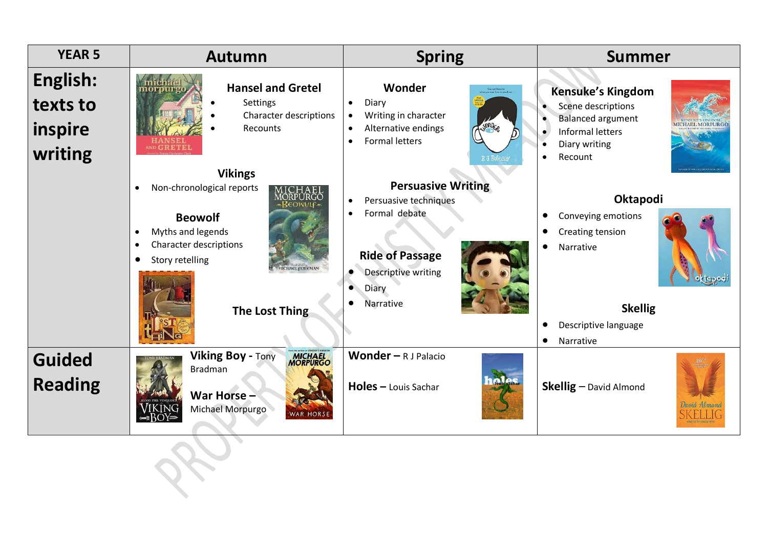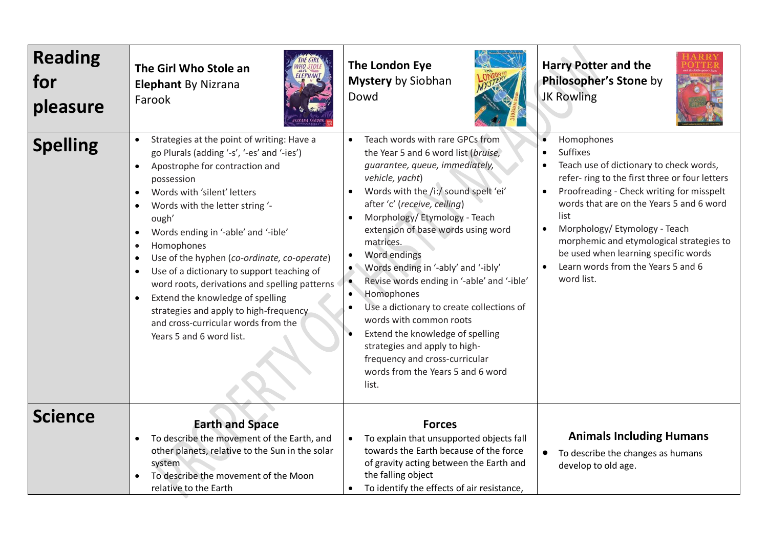| <b>Reading</b><br>for<br>pleasure | The Girl Who Stole an<br><b>Elephant By Nizrana</b><br>Farook                                                                                                                                                                                                                                                                                                                                                                                                                                                                                                                                                                                                      | The London Eye<br><b>Mystery by Siobhan</b><br>Dowd                                                                                                                                                                                                                                                                                                                                                                                                                                                                                                                                                                                                                                        | <b>Harry Potter and the</b><br>Philosopher's Stone by<br><b>JK Rowling</b>                                                                                                                                                                                                                                                                                                                                                                 |
|-----------------------------------|--------------------------------------------------------------------------------------------------------------------------------------------------------------------------------------------------------------------------------------------------------------------------------------------------------------------------------------------------------------------------------------------------------------------------------------------------------------------------------------------------------------------------------------------------------------------------------------------------------------------------------------------------------------------|--------------------------------------------------------------------------------------------------------------------------------------------------------------------------------------------------------------------------------------------------------------------------------------------------------------------------------------------------------------------------------------------------------------------------------------------------------------------------------------------------------------------------------------------------------------------------------------------------------------------------------------------------------------------------------------------|--------------------------------------------------------------------------------------------------------------------------------------------------------------------------------------------------------------------------------------------------------------------------------------------------------------------------------------------------------------------------------------------------------------------------------------------|
| <b>Spelling</b>                   | Strategies at the point of writing: Have a<br>go Plurals (adding '-s', '-es' and '-ies')<br>Apostrophe for contraction and<br>possession<br>Words with 'silent' letters<br>$\bullet$<br>Words with the letter string '-<br>$\bullet$<br>ough'<br>Words ending in '-able' and '-ible'<br>$\bullet$<br>Homophones<br>$\bullet$<br>Use of the hyphen (co-ordinate, co-operate)<br>$\bullet$<br>Use of a dictionary to support teaching of<br>$\bullet$<br>word roots, derivations and spelling patterns<br>Extend the knowledge of spelling<br>$\bullet$<br>strategies and apply to high-frequency<br>and cross-curricular words from the<br>Years 5 and 6 word list. | Teach words with rare GPCs from<br>$\bullet$<br>the Year 5 and 6 word list (bruise,<br>guarantee, queue, immediately,<br>vehicle, yacht)<br>Words with the /i:/ sound spelt 'ei'<br>after 'c' (receive, ceiling)<br>Morphology/Etymology - Teach<br>$\bullet$<br>extension of base words using word<br>matrices.<br>Word endings<br>Words ending in '-ably' and '-ibly'<br>$\bullet$<br>Revise words ending in '-able' and '-ible'<br>Homophones<br>$\bullet$<br>Use a dictionary to create collections of<br>words with common roots<br>Extend the knowledge of spelling<br>strategies and apply to high-<br>frequency and cross-curricular<br>words from the Years 5 and 6 word<br>list. | Homophones<br><b>Suffixes</b><br>$\bullet$<br>Teach use of dictionary to check words,<br>refer-ring to the first three or four letters<br>Proofreading - Check writing for misspelt<br>$\bullet$<br>words that are on the Years 5 and 6 word<br>list<br>Morphology/ Etymology - Teach<br>$\bullet$<br>morphemic and etymological strategies to<br>be used when learning specific words<br>Learn words from the Years 5 and 6<br>word list. |
| <b>Science</b>                    | <b>Earth and Space</b><br>To describe the movement of the Earth, and<br>other planets, relative to the Sun in the solar<br>system<br>To describe the movement of the Moon<br>relative to the Earth                                                                                                                                                                                                                                                                                                                                                                                                                                                                 | <b>Forces</b><br>To explain that unsupported objects fall<br>towards the Earth because of the force<br>of gravity acting between the Earth and<br>the falling object<br>To identify the effects of air resistance,                                                                                                                                                                                                                                                                                                                                                                                                                                                                         | <b>Animals Including Humans</b><br>To describe the changes as humans<br>develop to old age.                                                                                                                                                                                                                                                                                                                                                |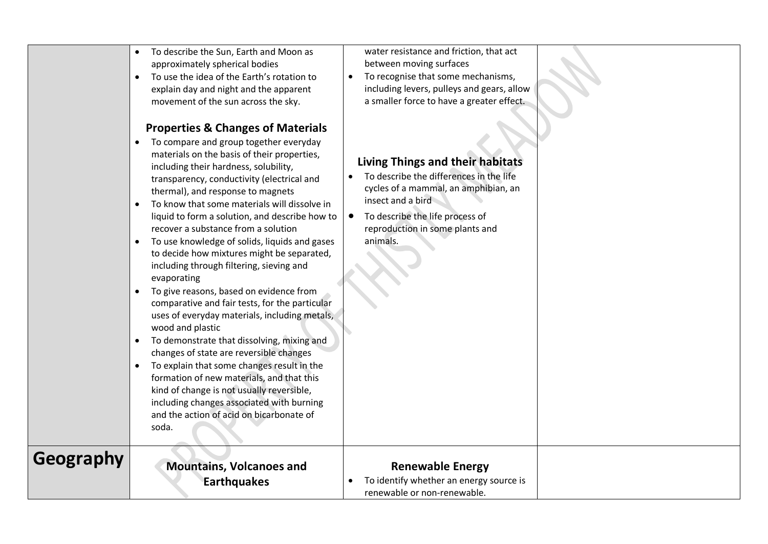|           | To describe the Sun, Earth and Moon as<br>approximately spherical bodies<br>To use the idea of the Earth's rotation to<br>$\bullet$<br>explain day and night and the apparent<br>movement of the sun across the sky.<br><b>Properties &amp; Changes of Materials</b><br>To compare and group together everyday<br>materials on the basis of their properties,<br>including their hardness, solubility,<br>transparency, conductivity (electrical and<br>thermal), and response to magnets<br>To know that some materials will dissolve in<br>$\bullet$<br>liquid to form a solution, and describe how to<br>recover a substance from a solution<br>To use knowledge of solids, liquids and gases<br>$\bullet$<br>to decide how mixtures might be separated,<br>including through filtering, sieving and<br>evaporating<br>To give reasons, based on evidence from<br>$\bullet$<br>comparative and fair tests, for the particular<br>uses of everyday materials, including metals,<br>wood and plastic<br>To demonstrate that dissolving, mixing and<br>$\bullet$<br>changes of state are reversible changes<br>To explain that some changes result in the<br>$\bullet$<br>formation of new materials, and that this<br>kind of change is not usually reversible,<br>including changes associated with burning<br>and the action of acid on bicarbonate of<br>soda. | water resistance and friction, that act<br>between moving surfaces<br>To recognise that some mechanisms,<br>including levers, pulleys and gears, allow<br>a smaller force to have a greater effect.<br><b>Living Things and their habitats</b><br>To describe the differences in the life<br>cycles of a mammal, an amphibian, an<br>insect and a bird<br>To describe the life process of<br>reproduction in some plants and<br>animals. |  |
|-----------|--------------------------------------------------------------------------------------------------------------------------------------------------------------------------------------------------------------------------------------------------------------------------------------------------------------------------------------------------------------------------------------------------------------------------------------------------------------------------------------------------------------------------------------------------------------------------------------------------------------------------------------------------------------------------------------------------------------------------------------------------------------------------------------------------------------------------------------------------------------------------------------------------------------------------------------------------------------------------------------------------------------------------------------------------------------------------------------------------------------------------------------------------------------------------------------------------------------------------------------------------------------------------------------------------------------------------------------------------------------------|------------------------------------------------------------------------------------------------------------------------------------------------------------------------------------------------------------------------------------------------------------------------------------------------------------------------------------------------------------------------------------------------------------------------------------------|--|
| Geography | <b>Mountains, Volcanoes and</b><br><b>Earthquakes</b>                                                                                                                                                                                                                                                                                                                                                                                                                                                                                                                                                                                                                                                                                                                                                                                                                                                                                                                                                                                                                                                                                                                                                                                                                                                                                                              | <b>Renewable Energy</b><br>To identify whether an energy source is<br>renewable or non-renewable.                                                                                                                                                                                                                                                                                                                                        |  |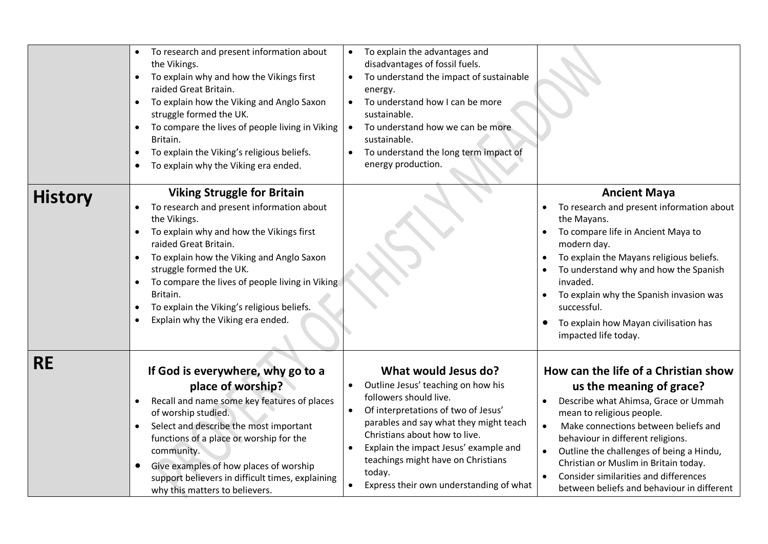|                | To research and present information about<br>the Vikings.<br>To explain why and how the Vikings first<br>raided Great Britain.<br>To explain how the Viking and Anglo Saxon<br>$\bullet$<br>struggle formed the UK.<br>To compare the lives of people living in Viking<br>Britain.<br>To explain the Viking's religious beliefs.<br>To explain why the Viking era ended.<br>$\bullet$                       | To explain the advantages and<br>disadvantages of fossil fuels.<br>To understand the impact of sustainable<br>energy.<br>To understand how I can be more<br>$\bullet$<br>sustainable.<br>To understand how we can be more<br>sustainable.<br>To understand the long term impact of<br>energy production.                                                |                                                                                                                                                                                                                                                                                                                                                                                                                          |
|----------------|-------------------------------------------------------------------------------------------------------------------------------------------------------------------------------------------------------------------------------------------------------------------------------------------------------------------------------------------------------------------------------------------------------------|---------------------------------------------------------------------------------------------------------------------------------------------------------------------------------------------------------------------------------------------------------------------------------------------------------------------------------------------------------|--------------------------------------------------------------------------------------------------------------------------------------------------------------------------------------------------------------------------------------------------------------------------------------------------------------------------------------------------------------------------------------------------------------------------|
| <b>History</b> | <b>Viking Struggle for Britain</b><br>To research and present information about<br>the Vikings.<br>To explain why and how the Vikings first<br>raided Great Britain.<br>To explain how the Viking and Anglo Saxon<br>struggle formed the UK.<br>To compare the lives of people living in Viking<br>Britain.<br>To explain the Viking's religious beliefs.<br>$\bullet$<br>Explain why the Viking era ended. |                                                                                                                                                                                                                                                                                                                                                         | <b>Ancient Maya</b><br>To research and present information about<br>the Mayans.<br>To compare life in Ancient Maya to<br>modern day.<br>To explain the Mayans religious beliefs.<br>To understand why and how the Spanish<br>invaded.<br>To explain why the Spanish invasion was<br>successful.<br>To explain how Mayan civilisation has<br>impacted life today.                                                         |
| <b>RE</b>      | If God is everywhere, why go to a<br>place of worship?<br>Recall and name some key features of places<br>of worship studied.<br>Select and describe the most important<br>functions of a place or worship for the<br>community.<br>Give examples of how places of worship<br>support believers in difficult times, explaining<br>why this matters to believers.                                             | What would Jesus do?<br>Outline Jesus' teaching on how his<br>followers should live.<br>Of interpretations of two of Jesus'<br>$\bullet$<br>parables and say what they might teach<br>Christians about how to live.<br>Explain the impact Jesus' example and<br>teachings might have on Christians<br>today.<br>Express their own understanding of what | How can the life of a Christian show<br>us the meaning of grace?<br>Describe what Ahimsa, Grace or Ummah<br>mean to religious people.<br>$\bullet$<br>Make connections between beliefs and<br>behaviour in different religions.<br>Outline the challenges of being a Hindu,<br>Christian or Muslim in Britain today.<br>Consider similarities and differences<br>$\bullet$<br>between beliefs and behaviour in different |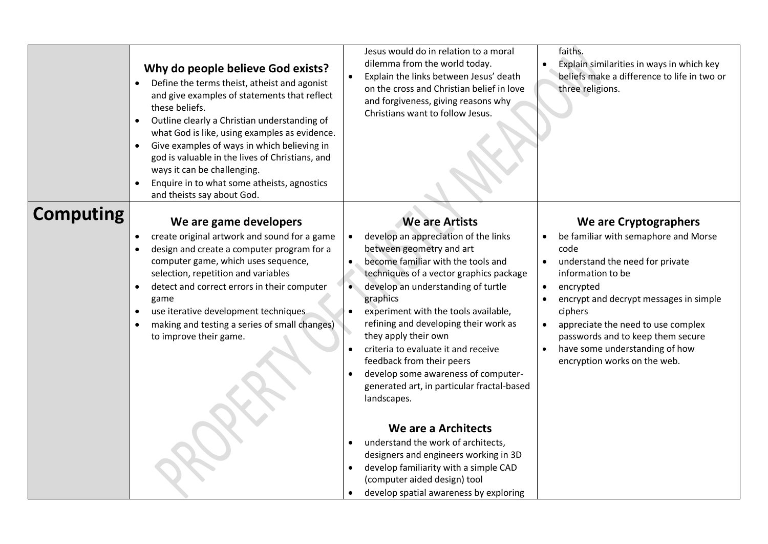|                  | Why do people believe God exists?<br>Define the terms theist, atheist and agonist<br>and give examples of statements that reflect<br>these beliefs.<br>Outline clearly a Christian understanding of<br>$\bullet$<br>what God is like, using examples as evidence.<br>Give examples of ways in which believing in<br>$\bullet$<br>god is valuable in the lives of Christians, and<br>ways it can be challenging.<br>Enquire in to what some atheists, agnostics<br>$\bullet$<br>and theists say about God. | Jesus would do in relation to a moral<br>dilemma from the world today.<br>Explain the links between Jesus' death<br>on the cross and Christian belief in love<br>and forgiveness, giving reasons why<br>Christians want to follow Jesus.                                                                                                                                                                                                                                                                                                             | faiths.<br>Explain similarities in ways in which key<br>$\bullet$<br>beliefs make a difference to life in two or<br>three religions.                                                                                                                                                                                                                                                                          |
|------------------|-----------------------------------------------------------------------------------------------------------------------------------------------------------------------------------------------------------------------------------------------------------------------------------------------------------------------------------------------------------------------------------------------------------------------------------------------------------------------------------------------------------|------------------------------------------------------------------------------------------------------------------------------------------------------------------------------------------------------------------------------------------------------------------------------------------------------------------------------------------------------------------------------------------------------------------------------------------------------------------------------------------------------------------------------------------------------|---------------------------------------------------------------------------------------------------------------------------------------------------------------------------------------------------------------------------------------------------------------------------------------------------------------------------------------------------------------------------------------------------------------|
| <b>Computing</b> | We are game developers<br>create original artwork and sound for a game<br>design and create a computer program for a<br>computer game, which uses sequence,<br>selection, repetition and variables<br>detect and correct errors in their computer<br>game<br>use iterative development techniques<br>making and testing a series of small changes)<br>to improve their game.                                                                                                                              | <b>We are Artists</b><br>develop an appreciation of the links<br>$\bullet$<br>between geometry and art<br>become familiar with the tools and<br>$\bullet$<br>techniques of a vector graphics package<br>develop an understanding of turtle<br>$\bullet$<br>graphics<br>experiment with the tools available,<br>refining and developing their work as<br>they apply their own<br>criteria to evaluate it and receive<br>feedback from their peers<br>develop some awareness of computer-<br>generated art, in particular fractal-based<br>landscapes. | We are Cryptographers<br>be familiar with semaphore and Morse<br>code<br>understand the need for private<br>$\bullet$<br>information to be<br>encrypted<br>$\bullet$<br>encrypt and decrypt messages in simple<br>$\bullet$<br>ciphers<br>appreciate the need to use complex<br>$\bullet$<br>passwords and to keep them secure<br>have some understanding of how<br>$\bullet$<br>encryption works on the web. |
|                  |                                                                                                                                                                                                                                                                                                                                                                                                                                                                                                           | We are a Architects<br>understand the work of architects,<br>$\bullet$<br>designers and engineers working in 3D<br>develop familiarity with a simple CAD<br>$\bullet$<br>(computer aided design) tool<br>develop spatial awareness by exploring                                                                                                                                                                                                                                                                                                      |                                                                                                                                                                                                                                                                                                                                                                                                               |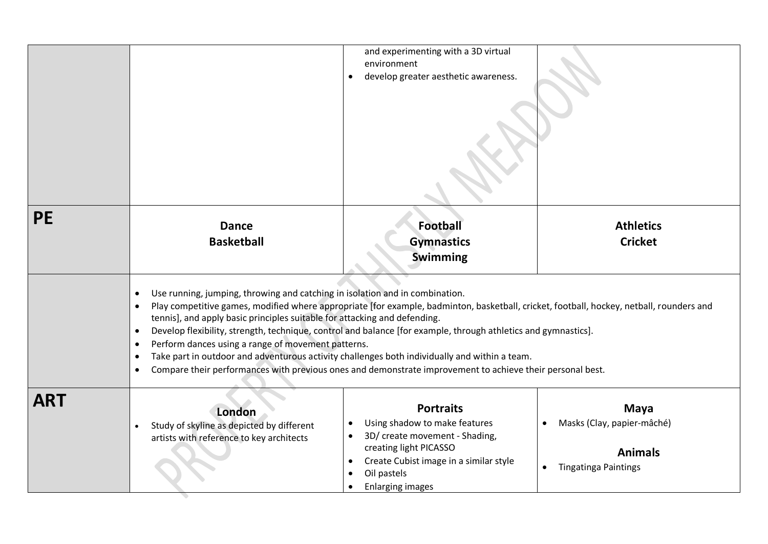|            |                                                                                                                                                                                                                                                                                                                                                                           | and experimenting with a 3D virtual<br>environment<br>develop greater aesthetic awareness.                                                                                                                                                                                                                                                                              |                                                                                                         |
|------------|---------------------------------------------------------------------------------------------------------------------------------------------------------------------------------------------------------------------------------------------------------------------------------------------------------------------------------------------------------------------------|-------------------------------------------------------------------------------------------------------------------------------------------------------------------------------------------------------------------------------------------------------------------------------------------------------------------------------------------------------------------------|---------------------------------------------------------------------------------------------------------|
| <b>PE</b>  | <b>Dance</b><br><b>Basketball</b>                                                                                                                                                                                                                                                                                                                                         | <b>Football</b><br><b>Gymnastics</b><br><b>Swimming</b>                                                                                                                                                                                                                                                                                                                 | <b>Athletics</b><br><b>Cricket</b>                                                                      |
|            | Use running, jumping, throwing and catching in isolation and in combination.<br>٠<br>tennis], and apply basic principles suitable for attacking and defending.<br>$\bullet$<br>Perform dances using a range of movement patterns.<br>$\bullet$<br>Take part in outdoor and adventurous activity challenges both individually and within a team.<br>$\bullet$<br>$\bullet$ | Play competitive games, modified where appropriate [for example, badminton, basketball, cricket, football, hockey, netball, rounders and<br>Develop flexibility, strength, technique, control and balance [for example, through athletics and gymnastics].<br>Compare their performances with previous ones and demonstrate improvement to achieve their personal best. |                                                                                                         |
| <b>ART</b> | London<br>Study of skyline as depicted by different<br>$\bullet$<br>artists with reference to key architects                                                                                                                                                                                                                                                              | <b>Portraits</b><br>Using shadow to make features<br>3D/ create movement - Shading,<br>creating light PICASSO<br>Create Cubist image in a similar style<br>$\bullet$<br>Oil pastels<br><b>Enlarging images</b>                                                                                                                                                          | <b>Maya</b><br>Masks (Clay, papier-mâché)<br><b>Animals</b><br><b>Tingatinga Paintings</b><br>$\bullet$ |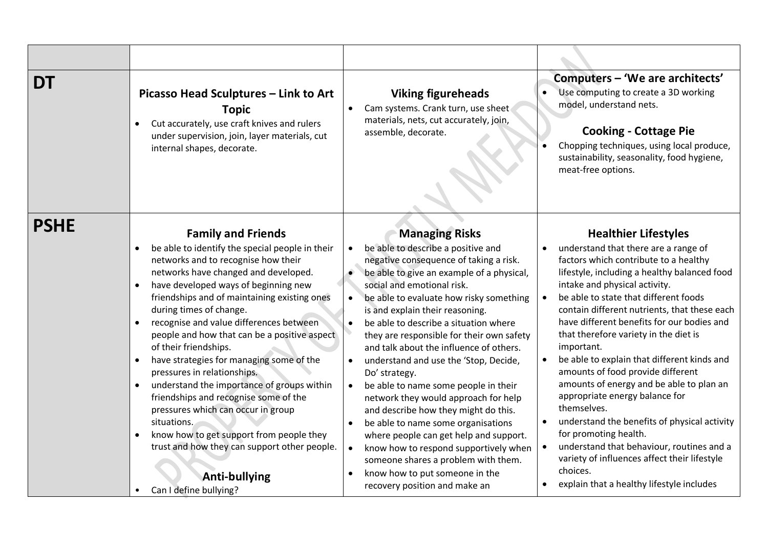| DT          | Picasso Head Sculptures - Link to Art<br><b>Topic</b><br>Cut accurately, use craft knives and rulers<br>under supervision, join, layer materials, cut<br>internal shapes, decorate.                                                                                                                                                                                                                                                                                                                                                                                                                                                                                                                                                             | <b>Viking figureheads</b><br>Cam systems. Crank turn, use sheet<br>$\bullet$<br>materials, nets, cut accurately, join,<br>assemble, decorate.                                                                                                                                                                                                                                                                                                                                                                                                                                                                                                                                                                                                                                                                                   | Computers - 'We are architects'<br>Use computing to create a 3D working<br>model, understand nets.<br><b>Cooking - Cottage Pie</b><br>Chopping techniques, using local produce,<br>sustainability, seasonality, food hygiene,<br>meat-free options.                                                                                                                                                                                                                                                                                                                                                                                                                                                                                                                                                                |
|-------------|-------------------------------------------------------------------------------------------------------------------------------------------------------------------------------------------------------------------------------------------------------------------------------------------------------------------------------------------------------------------------------------------------------------------------------------------------------------------------------------------------------------------------------------------------------------------------------------------------------------------------------------------------------------------------------------------------------------------------------------------------|---------------------------------------------------------------------------------------------------------------------------------------------------------------------------------------------------------------------------------------------------------------------------------------------------------------------------------------------------------------------------------------------------------------------------------------------------------------------------------------------------------------------------------------------------------------------------------------------------------------------------------------------------------------------------------------------------------------------------------------------------------------------------------------------------------------------------------|--------------------------------------------------------------------------------------------------------------------------------------------------------------------------------------------------------------------------------------------------------------------------------------------------------------------------------------------------------------------------------------------------------------------------------------------------------------------------------------------------------------------------------------------------------------------------------------------------------------------------------------------------------------------------------------------------------------------------------------------------------------------------------------------------------------------|
| <b>PSHE</b> | <b>Family and Friends</b><br>be able to identify the special people in their<br>$\bullet$<br>networks and to recognise how their<br>networks have changed and developed.<br>have developed ways of beginning new<br>friendships and of maintaining existing ones<br>during times of change.<br>recognise and value differences between<br>$\bullet$<br>people and how that can be a positive aspect<br>of their friendships.<br>have strategies for managing some of the<br>pressures in relationships.<br>understand the importance of groups within<br>friendships and recognise some of the<br>pressures which can occur in group<br>situations.<br>know how to get support from people they<br>trust and how they can support other people. | <b>Managing Risks</b><br>be able to describe a positive and<br>negative consequence of taking a risk.<br>be able to give an example of a physical,<br>social and emotional risk.<br>be able to evaluate how risky something<br>is and explain their reasoning.<br>be able to describe a situation where<br>$\bullet$<br>they are responsible for their own safety<br>and talk about the influence of others.<br>understand and use the 'Stop, Decide,<br>$\bullet$<br>Do' strategy.<br>be able to name some people in their<br>$\bullet$<br>network they would approach for help<br>and describe how they might do this.<br>be able to name some organisations<br>$\bullet$<br>where people can get help and support.<br>know how to respond supportively when<br>$\bullet$<br>someone shares a problem with them.<br>$\bullet$ | <b>Healthier Lifestyles</b><br>understand that there are a range of<br>$\bullet$<br>factors which contribute to a healthy<br>lifestyle, including a healthy balanced food<br>intake and physical activity.<br>be able to state that different foods<br>$\bullet$<br>contain different nutrients, that these each<br>have different benefits for our bodies and<br>that therefore variety in the diet is<br>important.<br>be able to explain that different kinds and<br>amounts of food provide different<br>amounts of energy and be able to plan an<br>appropriate energy balance for<br>themselves.<br>understand the benefits of physical activity<br>$\bullet$<br>for promoting health.<br>understand that behaviour, routines and a<br>$\bullet$<br>variety of influences affect their lifestyle<br>choices. |
|             | <b>Anti-bullying</b><br>Can I define bullying?<br>$\bullet$                                                                                                                                                                                                                                                                                                                                                                                                                                                                                                                                                                                                                                                                                     | know how to put someone in the<br>recovery position and make an                                                                                                                                                                                                                                                                                                                                                                                                                                                                                                                                                                                                                                                                                                                                                                 | explain that a healthy lifestyle includes                                                                                                                                                                                                                                                                                                                                                                                                                                                                                                                                                                                                                                                                                                                                                                          |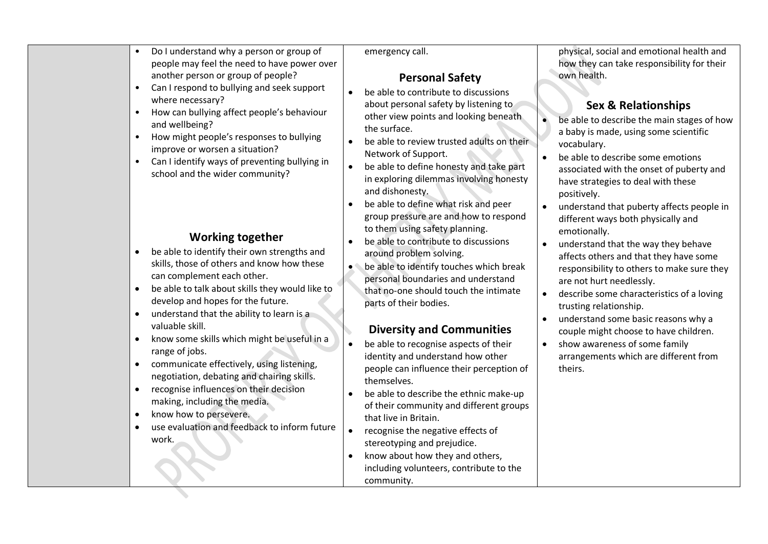|                                                                                          | Can I respond to bullying and seek support                                                                                                                                                                                                                                              |                                                                                                                                                                                                                                                                                                                                                                                         |                                                                                                                                                                                                                                                                                                                                   |
|------------------------------------------------------------------------------------------|-----------------------------------------------------------------------------------------------------------------------------------------------------------------------------------------------------------------------------------------------------------------------------------------|-----------------------------------------------------------------------------------------------------------------------------------------------------------------------------------------------------------------------------------------------------------------------------------------------------------------------------------------------------------------------------------------|-----------------------------------------------------------------------------------------------------------------------------------------------------------------------------------------------------------------------------------------------------------------------------------------------------------------------------------|
| where necessary?<br>$\bullet$<br>and wellbeing?<br>$\bullet$                             | How can bullying affect people's behaviour<br>How might people's responses to bullying<br>improve or worsen a situation?<br>Can I identify ways of preventing bullying in<br>school and the wider community?                                                                            | be able to contribute to discussions<br>about personal safety by listening to<br>other view points and looking beneath<br>the surface.<br>be able to review trusted adults on their<br>Network of Support.<br>be able to define honesty and take part<br>in exploring dilemmas involving honesty<br>and dishonesty.                                                                     | <b>Sex &amp; Relationships</b><br>be able to describe the main stages of how<br>$\bullet$<br>a baby is made, using some scientific<br>vocabulary.<br>be able to describe some emotions<br>associated with the onset of puberty and<br>have strategies to deal with these<br>positively.                                           |
| $\bullet$<br>$\bullet$<br>$\bullet$                                                      | <b>Working together</b><br>be able to identify their own strengths and<br>skills, those of others and know how these<br>can complement each other.<br>be able to talk about skills they would like to<br>develop and hopes for the future.<br>understand that the ability to learn is a | be able to define what risk and peer<br>group pressure are and how to respond<br>to them using safety planning.<br>be able to contribute to discussions<br>$\bullet$<br>around problem solving.<br>be able to identify touches which break<br>personal boundaries and understand<br>that no-one should touch the intimate<br>parts of their bodies.                                     | understand that puberty affects people in<br>different ways both physically and<br>emotionally.<br>understand that the way they behave<br>affects others and that they have some<br>responsibility to others to make sure they<br>are not hurt needlessly.<br>describe some characteristics of a loving<br>trusting relationship. |
| valuable skill.<br>$\bullet$                                                             | know some skills which might be useful in a                                                                                                                                                                                                                                             | <b>Diversity and Communities</b><br>be able to recognise aspects of their                                                                                                                                                                                                                                                                                                               | understand some basic reasons why a<br>$\bullet$<br>couple might choose to have children.<br>show awareness of some family                                                                                                                                                                                                        |
| range of jobs.<br>$\bullet$<br>$\bullet$<br>know how to persevere.<br>$\bullet$<br>work. | communicate effectively, using listening,<br>negotiation, debating and chairing skills.<br>recognise influences on their decision<br>making, including the media.<br>use evaluation and feedback to inform future                                                                       | identity and understand how other<br>people can influence their perception of<br>themselves.<br>be able to describe the ethnic make-up<br>of their community and different groups<br>that live in Britain.<br>recognise the negative effects of<br>$\bullet$<br>stereotyping and prejudice.<br>know about how they and others,<br>including volunteers, contribute to the<br>community. | arrangements which are different from<br>theirs.                                                                                                                                                                                                                                                                                  |

• Do I understand why a person or group of people may feel the need to have power over another person or group of people?

emergency call.

## **Personal Safety**

physical, social and emotional health and how they can take responsibility for their own health.